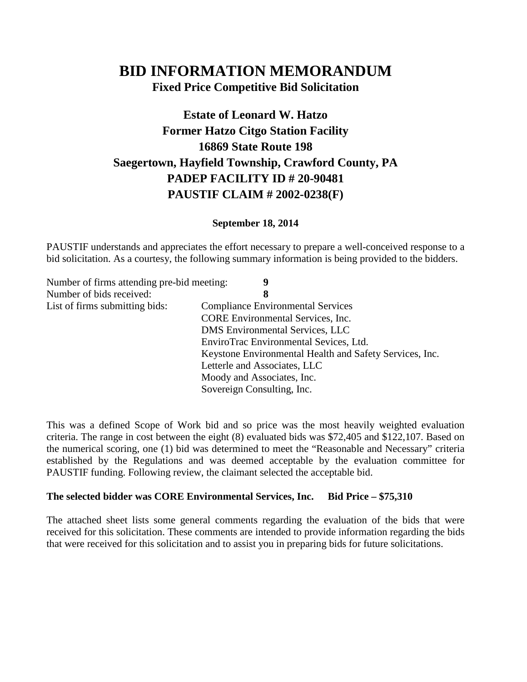# **BID INFORMATION MEMORANDUM**

**Fixed Price Competitive Bid Solicitation**

## **Estate of Leonard W. Hatzo Former Hatzo Citgo Station Facility 16869 State Route 198 Saegertown, Hayfield Township, Crawford County, PA PADEP FACILITY ID # 20-90481 PAUSTIF CLAIM # 2002-0238(F)**

#### **September 18, 2014**

PAUSTIF understands and appreciates the effort necessary to prepare a well-conceived response to a bid solicitation. As a courtesy, the following summary information is being provided to the bidders.

| Number of firms attending pre-bid meeting: | 9                                                       |
|--------------------------------------------|---------------------------------------------------------|
| Number of bids received:                   | 8                                                       |
| List of firms submitting bids:             | <b>Compliance Environmental Services</b>                |
|                                            | <b>CORE</b> Environmental Services, Inc.                |
|                                            | DMS Environmental Services, LLC                         |
|                                            | EnviroTrac Environmental Sevices, Ltd.                  |
|                                            | Keystone Environmental Health and Safety Services, Inc. |
|                                            | Letterle and Associates, LLC                            |
|                                            | Moody and Associates, Inc.                              |
|                                            | Sovereign Consulting, Inc.                              |

This was a defined Scope of Work bid and so price was the most heavily weighted evaluation criteria. The range in cost between the eight (8) evaluated bids was \$72,405 and \$122,107. Based on the numerical scoring, one (1) bid was determined to meet the "Reasonable and Necessary" criteria established by the Regulations and was deemed acceptable by the evaluation committee for PAUSTIF funding. Following review, the claimant selected the acceptable bid.

#### **The selected bidder was CORE Environmental Services, Inc. Bid Price – \$75,310**

The attached sheet lists some general comments regarding the evaluation of the bids that were received for this solicitation. These comments are intended to provide information regarding the bids that were received for this solicitation and to assist you in preparing bids for future solicitations.